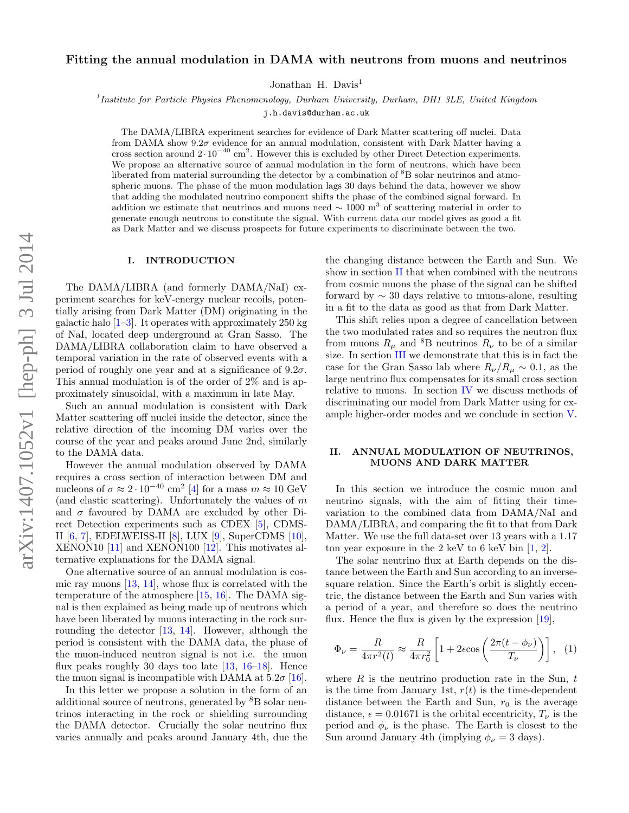# Fitting the annual modulation in DAMA with neutrons from muons and neutrinos

Jonathan H. Davis<sup>1</sup>

<sup>1</sup> Institute for Particle Physics Phenomenology, Durham University, Durham, DH1 3LE, United Kingdom

[j.h.davis@durham.ac.uk](mailto:j.h.davis@durham.ac.uk)

The DAMA/LIBRA experiment searches for evidence of Dark Matter scattering off nuclei. Data from DAMA show  $9.2\sigma$  evidence for an annual modulation, consistent with Dark Matter having a cross section around  $2 \cdot 10^{-40}$  cm<sup>2</sup>. However this is excluded by other Direct Detection experiments. We propose an alternative source of annual modulation in the form of neutrons, which have been liberated from material surrounding the detector by a combination of <sup>8</sup>B solar neutrinos and atmospheric muons. The phase of the muon modulation lags 30 days behind the data, however we show that adding the modulated neutrino component shifts the phase of the combined signal forward. In addition we estimate that neutrinos and muons need  $\sim 1000 \text{ m}^3$  of scattering material in order to generate enough neutrons to constitute the signal. With current data our model gives as good a fit as Dark Matter and we discuss prospects for future experiments to discriminate between the two.

#### I. INTRODUCTION

The DAMA/LIBRA (and formerly DAMA/NaI) experiment searches for keV-energy nuclear recoils, potentially arising from Dark Matter (DM) originating in the galactic halo  $[1-3]$  $[1-3]$ . It operates with approximately 250 kg of NaI, located deep underground at Gran Sasso. The DAMA/LIBRA collaboration claim to have observed a temporal variation in the rate of observed events with a period of roughly one year and at a significance of  $9.2\sigma$ . This annual modulation is of the order of 2% and is approximately sinusoidal, with a maximum in late May.

Such an annual modulation is consistent with Dark Matter scattering off nuclei inside the detector, since the relative direction of the incoming DM varies over the course of the year and peaks around June 2nd, similarly to the DAMA data.

However the annual modulation observed by DAMA requires a cross section of interaction between DM and nucleons of  $\sigma \approx 2 \cdot 10^{-40}$  cm<sup>2</sup> [\[4\]](#page-4-2) for a mass  $m \approx 10 \text{ GeV}$ (and elastic scattering). Unfortunately the values of  $m$ and  $\sigma$  favoured by DAMA are excluded by other Direct Detection experiments such as CDEX [\[5\]](#page-4-3), CDMS-II [\[6,](#page-4-4) [7\]](#page-4-5), EDELWEISS-II [\[8\]](#page-4-6), LUX [\[9\]](#page-4-7), SuperCDMS [\[10\]](#page-4-8), XENON10 [\[11\]](#page-4-9) and XENON100 [\[12\]](#page-4-10). This motivates alternative explanations for the DAMA signal.

One alternative source of an annual modulation is cosmic ray muons [\[13,](#page-4-11) [14\]](#page-4-12), whose flux is correlated with the temperature of the atmosphere  $[15, 16]$  $[15, 16]$  $[15, 16]$ . The DAMA signal is then explained as being made up of neutrons which have been liberated by muons interacting in the rock surrounding the detector [\[13,](#page-4-11) [14\]](#page-4-12). However, although the period is consistent with the DAMA data, the phase of the muon-induced neutron signal is not i.e. the muon flux peaks roughly 30 days too late  $[13, 16-18]$  $[13, 16-18]$  $[13, 16-18]$ . Hence the muon signal is incompatible with DAMA at  $5.2\sigma$  [\[16\]](#page-4-14).

In this letter we propose a solution in the form of an additional source of neutrons, generated by <sup>8</sup>B solar neutrinos interacting in the rock or shielding surrounding the DAMA detector. Crucially the solar neutrino flux varies annually and peaks around January 4th, due the

the changing distance between the Earth and Sun. We show in section [II](#page-0-0) that when combined with the neutrons from cosmic muons the phase of the signal can be shifted forward by ∼ 30 days relative to muons-alone, resulting in a fit to the data as good as that from Dark Matter.

This shift relies upon a degree of cancellation between the two modulated rates and so requires the neutron flux from muons  $R_{\mu}$  and <sup>8</sup>B neutrinos  $R_{\nu}$  to be of a similar size. In section [III](#page-2-0) we demonstrate that this is in fact the case for the Gran Sasso lab where  $R_{\nu}/R_{\mu} \sim 0.1$ , as the large neutrino flux compensates for its small cross section relative to muons. In section [IV](#page-3-0) we discuss methods of discriminating our model from Dark Matter using for example higher-order modes and we conclude in section [V.](#page-3-1)

## <span id="page-0-0"></span>II. ANNUAL MODULATION OF NEUTRINOS, MUONS AND DARK MATTER

In this section we introduce the cosmic muon and neutrino signals, with the aim of fitting their timevariation to the combined data from DAMA/NaI and DAMA/LIBRA, and comparing the fit to that from Dark Matter. We use the full data-set over 13 years with a 1.17 ton year exposure in the 2 keV to 6 keV bin  $[1, 2]$  $[1, 2]$  $[1, 2]$ .

The solar neutrino flux at Earth depends on the distance between the Earth and Sun according to an inversesquare relation. Since the Earth's orbit is slightly eccentric, the distance between the Earth and Sun varies with a period of a year, and therefore so does the neutrino flux. Hence the flux is given by the expression  $[19]$ ,

$$
\Phi_{\nu} = \frac{R}{4\pi r^2(t)} \approx \frac{R}{4\pi r_0^2} \left[ 1 + 2\epsilon \cos\left(\frac{2\pi (t - \phi_{\nu})}{T_{\nu}}\right) \right], \tag{1}
$$

where  $R$  is the neutrino production rate in the Sun,  $t$ is the time from January 1st,  $r(t)$  is the time-dependent distance between the Earth and Sun,  $r_0$  is the average distance,  $\epsilon = 0.01671$  is the orbital eccentricity,  $T_{\nu}$  is the period and  $\phi_{\nu}$  is the phase. The Earth is closest to the Sun around January 4th (implying  $\phi_{\nu} = 3$  days).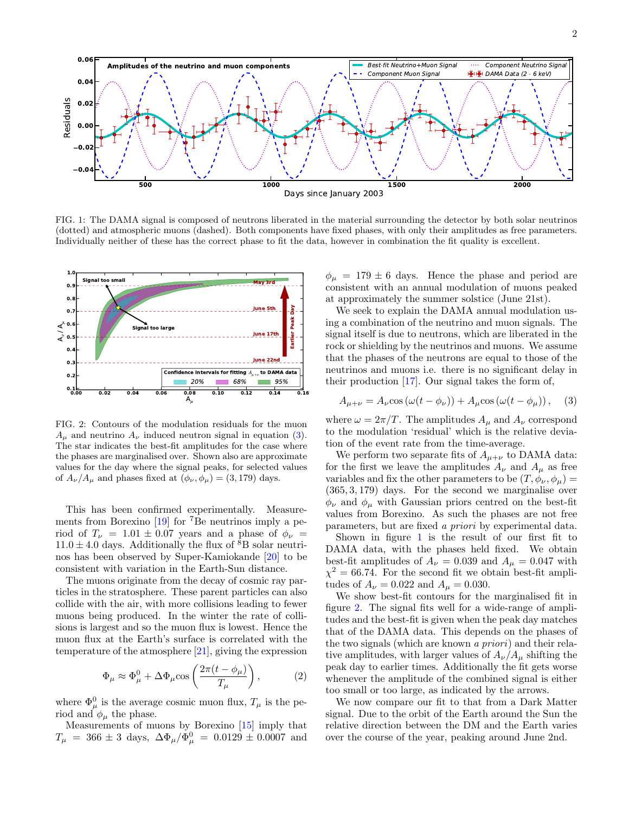2



<span id="page-1-1"></span>FIG. 1: The DAMA signal is composed of neutrons liberated in the material surrounding the detector by both solar neutrinos (dotted) and atmospheric muons (dashed). Both components have fixed phases, with only their amplitudes as free parameters. Individually neither of these has the correct phase to fit the data, however in combination the fit quality is excellent.



<span id="page-1-2"></span>FIG. 2: Contours of the modulation residuals for the muon  $A_{\mu}$  and neutrino  $A_{\nu}$  induced neutron signal in equation [\(3\)](#page-1-0). The star indicates the best-fit amplitudes for the case where the phases are marginalised over. Shown also are approximate values for the day where the signal peaks, for selected values of  $A_{\nu}/A_{\mu}$  and phases fixed at  $(\phi_{\nu}, \phi_{\mu}) = (3, 179)$  days.

This has been confirmed experimentally. Measurements from Borexino [\[19\]](#page-4-17) for <sup>7</sup>Be neutrinos imply a period of  $T_{\nu} = 1.01 \pm 0.07$  years and a phase of  $\phi_{\nu} =$  $11.0 \pm 4.0$  days. Additionally the flux of  ${}^{8}B$  solar neutrinos has been observed by Super-Kamiokande [\[20\]](#page-4-18) to be consistent with variation in the Earth-Sun distance.

The muons originate from the decay of cosmic ray particles in the stratosphere. These parent particles can also collide with the air, with more collisions leading to fewer muons being produced. In the winter the rate of collisions is largest and so the muon flux is lowest. Hence the muon flux at the Earth's surface is correlated with the temperature of the atmosphere [\[21\]](#page-4-19), giving the expression

$$
\Phi_{\mu} \approx \Phi_{\mu}^{0} + \Delta \Phi_{\mu} \cos \left( \frac{2\pi (t - \phi_{\mu})}{T_{\mu}} \right), \qquad (2)
$$

where  $\Phi^0_\mu$  is the average cosmic muon flux,  $T_\mu$  is the period and  $\phi_{\mu}$  the phase.

Measurements of muons by Borexino [\[15\]](#page-4-13) imply that  $T_{\mu}$  = 366 ± 3 days,  $\Delta\Phi_{\mu}/\Phi_{\mu}^{0}$  = 0.0129 ± 0.0007 and

 $\phi_{\mu} = 179 \pm 6$  days. Hence the phase and period are consistent with an annual modulation of muons peaked at approximately the summer solstice (June 21st).

We seek to explain the DAMA annual modulation using a combination of the neutrino and muon signals. The signal itself is due to neutrons, which are liberated in the rock or shielding by the neutrinos and muons. We assume that the phases of the neutrons are equal to those of the neutrinos and muons i.e. there is no significant delay in their production  $[17]$ . Our signal takes the form of,

<span id="page-1-0"></span>
$$
A_{\mu+\nu} = A_{\nu}\cos\left(\omega(t-\phi_{\nu})\right) + A_{\mu}\cos\left(\omega(t-\phi_{\mu})\right),\quad(3)
$$

where  $\omega = 2\pi/T$ . The amplitudes  $A_{\mu}$  and  $A_{\nu}$  correspond to the modulation 'residual' which is the relative deviation of the event rate from the time-average.

We perform two separate fits of  $A_{\mu+\nu}$  to DAMA data: for the first we leave the amplitudes  $A_\nu$  and  $A_\mu$  as free variables and fix the other parameters to be  $(T, \phi_{\nu}, \phi_{\mu}) =$ (365, 3, 179) days. For the second we marginalise over  $\phi_{\nu}$  and  $\phi_{\mu}$  with Gaussian priors centred on the best-fit values from Borexino. As such the phases are not free parameters, but are fixed a priori by experimental data.

Shown in figure [1](#page-1-1) is the result of our first fit to DAMA data, with the phases held fixed. We obtain best-fit amplitudes of  $A_{\nu} = 0.039$  and  $A_{\mu} = 0.047$  with  $\chi^2 = 66.74$ . For the second fit we obtain best-fit amplitudes of  $A_{\nu} = 0.022$  and  $A_{\mu} = 0.030$ .

We show best-fit contours for the marginalised fit in figure [2.](#page-1-2) The signal fits well for a wide-range of amplitudes and the best-fit is given when the peak day matches that of the DAMA data. This depends on the phases of the two signals (which are known a priori) and their relative amplitudes, with larger values of  $A_{\nu}/A_{\mu}$  shifting the peak day to earlier times. Additionally the fit gets worse whenever the amplitude of the combined signal is either too small or too large, as indicated by the arrows.

We now compare our fit to that from a Dark Matter signal. Due to the orbit of the Earth around the Sun the relative direction between the DM and the Earth varies over the course of the year, peaking around June 2nd.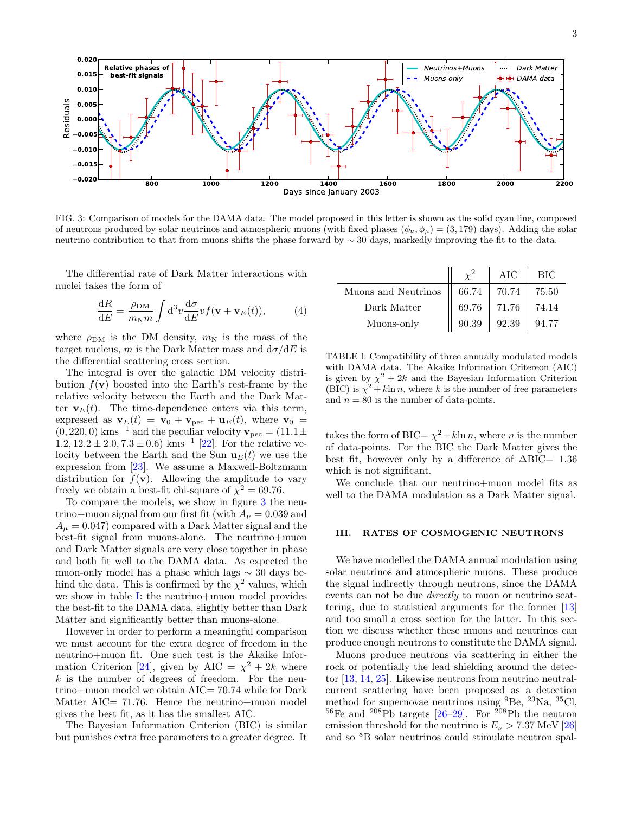

<span id="page-2-1"></span>FIG. 3: Comparison of models for the DAMA data. The model proposed in this letter is shown as the solid cyan line, composed of neutrons produced by solar neutrinos and atmospheric muons (with fixed phases  $(\phi_{\nu}, \phi_{\mu}) = (3, 179)$  days). Adding the solar neutrino contribution to that from muons shifts the phase forward by ∼ 30 days, markedly improving the fit to the data.

The differential rate of Dark Matter interactions with nuclei takes the form of

$$
\frac{\mathrm{d}R}{\mathrm{d}E} = \frac{\rho_{\rm DM}}{m_{\rm N}m} \int \mathrm{d}^3 v \frac{\mathrm{d}\sigma}{\mathrm{d}E} v f(\mathbf{v} + \mathbf{v}_E(t)),\tag{4}
$$

where  $\rho_{DM}$  is the DM density,  $m_N$  is the mass of the target nucleus, m is the Dark Matter mass and  $d\sigma/dE$  is the differential scattering cross section.

The integral is over the galactic DM velocity distribution  $f(\mathbf{v})$  boosted into the Earth's rest-frame by the relative velocity between the Earth and the Dark Matter  $\mathbf{v}_E(t)$ . The time-dependence enters via this term, expressed as  $\mathbf{v}_E(t) = \mathbf{v}_0 + \mathbf{v}_{\text{pec}} + \mathbf{u}_E(t)$ , where  $\mathbf{v}_0$  =  $(0, 220, 0)$  kms<sup>-1</sup> and the peculiar velocity  $\mathbf{v}_{\text{pec}} = (11.1 \pm 1.1)$  $1.2, 12.2 \pm 2.0, 7.3 \pm 0.6$  kms<sup>-1</sup> [\[22\]](#page-4-21). For the relative velocity between the Earth and the Sun  $\mathbf{u}_E(t)$  we use the expression from [\[23\]](#page-4-22). We assume a Maxwell-Boltzmann distribution for  $f(\mathbf{v})$ . Allowing the amplitude to vary freely we obtain a best-fit chi-square of  $\chi^2 = 69.76$ .

To compare the models, we show in figure [3](#page-2-1) the neutrino+muon signal from our first fit (with  $A_{\nu} = 0.039$  and  $A_{\mu} = 0.047$  compared with a Dark Matter signal and the best-fit signal from muons-alone. The neutrino+muon and Dark Matter signals are very close together in phase and both fit well to the DAMA data. As expected the muon-only model has a phase which lags ∼ 30 days behind the data. This is confirmed by the  $\chi^2$  values, which we show in table [I:](#page-2-2) the neutrino+muon model provides the best-fit to the DAMA data, slightly better than Dark Matter and significantly better than muons-alone.

However in order to perform a meaningful comparison we must account for the extra degree of freedom in the neutrino+muon fit. One such test is the Akaike Infor-mation Criterion [\[24\]](#page-4-23), given by AIC =  $\chi^2 + 2k$  where  $k$  is the number of degrees of freedom. For the neutrino+muon model we obtain AIC= 70.74 while for Dark Matter AIC= 71.76. Hence the neutrino+muon model gives the best fit, as it has the smallest AIC.

The Bayesian Information Criterion (BIC) is similar but punishes extra free parameters to a greater degree. It

|                     |       | AIC   | ВIС   |
|---------------------|-------|-------|-------|
| Muons and Neutrinos | 66.74 | 70.74 | 75.50 |
| Dark Matter         | 69.76 | 71.76 | 74.14 |
| Muons-only          | 90.39 | 92.39 | 94.77 |

<span id="page-2-2"></span>TABLE I: Compatibility of three annually modulated models with DAMA data. The Akaike Information Critereon (AIC) is given by  $\chi^2 + 2k$  and the Bayesian Information Criterion (BIC) is  $\chi^2 + k \ln n$ , where k is the number of free parameters and  $n = 80$  is the number of data-points.

takes the form of BIC=  $\chi^2 + k \ln n$ , where *n* is the number of data-points. For the BIC the Dark Matter gives the best fit, however only by a difference of  $\Delta BIC= 1.36$ which is not significant.

We conclude that our neutrino+muon model fits as well to the DAMA modulation as a Dark Matter signal.

#### <span id="page-2-0"></span>III. RATES OF COSMOGENIC NEUTRONS

We have modelled the DAMA annual modulation using solar neutrinos and atmospheric muons. These produce the signal indirectly through neutrons, since the DAMA events can not be due directly to muon or neutrino scattering, due to statistical arguments for the former [\[13\]](#page-4-11) and too small a cross section for the latter. In this section we discuss whether these muons and neutrinos can produce enough neutrons to constitute the DAMA signal.

Muons produce neutrons via scattering in either the rock or potentially the lead shielding around the detector [\[13,](#page-4-11) [14,](#page-4-12) [25\]](#page-4-24). Likewise neutrons from neutrino neutralcurrent scattering have been proposed as a detection method for supernovae neutrinos using  ${}^{9}$ Be,  ${}^{23}$ Na,  ${}^{35}$ Cl,  $^{56}$ Fe and  $^{208}$ Pb targets [\[26–](#page-4-25)[29\]](#page-4-26). For  $^{208}$ Pb the neutron emission threshold for the neutrino is  $E_{\nu} > 7.37$  MeV [\[26\]](#page-4-25) and so <sup>8</sup>B solar neutrinos could stimulate neutron spal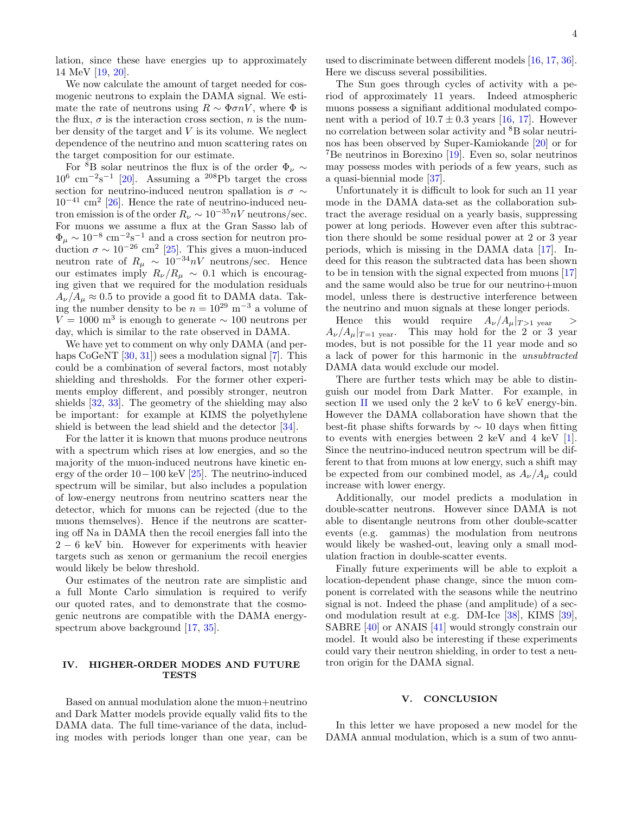lation, since these have energies up to approximately 14 MeV [\[19,](#page-4-17) [20\]](#page-4-18).

We now calculate the amount of target needed for cosmogenic neutrons to explain the DAMA signal. We estimate the rate of neutrons using  $R \sim \Phi \sigma nV$ , where  $\Phi$  is the flux,  $\sigma$  is the interaction cross section, *n* is the number density of the target and V is its volume. We neglect dependence of the neutrino and muon scattering rates on the target composition for our estimate.

For <sup>8</sup>B solar neutrinos the flux is of the order  $\Phi_{\nu} \sim$  $10^6$  cm<sup>-2</sup>s<sup>-1</sup> [\[20\]](#page-4-18). Assuming a <sup>208</sup>Pb target the cross section for neutrino-induced neutron spallation is  $\sigma \sim$  $10^{-41}$  cm<sup>2</sup> [\[26\]](#page-4-25). Hence the rate of neutrino-induced neutron emission is of the order  $R_{\nu} \sim 10^{-35} nV$  neutrons/sec. For muons we assume a flux at the Gran Sasso lab of  $\Phi_{\mu} \sim 10^{-8}$  cm<sup>-2</sup>s<sup>-1</sup> and a cross section for neutron production  $\sigma \sim 10^{-26}$  cm<sup>2</sup> [\[25\]](#page-4-24). This gives a muon-induced neutron rate of  $R_{\mu} \sim 10^{-34} nV$  neutrons/sec. Hence our estimates imply  $R_{\nu}/R_{\mu} \sim 0.1$  which is encouraging given that we required for the modulation residuals  $A_{\nu}/A_{\mu} \approx 0.5$  to provide a good fit to DAMA data. Taking the number density to be  $n = 10^{29} \text{ m}^{-3}$  a volume of  $V = 1000$  m<sup>3</sup> is enough to generate  $\sim 100$  neutrons per day, which is similar to the rate observed in DAMA.

We have yet to comment on why only DAMA (and per-haps CoGeNT [\[30,](#page-4-27) [31\]](#page-4-28)) sees a modulation signal [\[7\]](#page-4-5). This could be a combination of several factors, most notably shielding and thresholds. For the former other experiments employ different, and possibly stronger, neutron shields [\[32,](#page-4-29) [33\]](#page-4-30). The geometry of the shielding may also be important: for example at KIMS the polyethylene shield is between the lead shield and the detector [\[34\]](#page-4-31).

For the latter it is known that muons produce neutrons with a spectrum which rises at low energies, and so the majority of the muon-induced neutrons have kinetic energy of the order 10−100 keV [\[25\]](#page-4-24). The neutrino-induced spectrum will be similar, but also includes a population of low-energy neutrons from neutrino scatters near the detector, which for muons can be rejected (due to the muons themselves). Hence if the neutrons are scattering off Na in DAMA then the recoil energies fall into the  $2 - 6$  keV bin. However for experiments with heavier targets such as xenon or germanium the recoil energies would likely be below threshold.

Our estimates of the neutron rate are simplistic and a full Monte Carlo simulation is required to verify our quoted rates, and to demonstrate that the cosmogenic neutrons are compatible with the DAMA energyspectrum above background [\[17,](#page-4-20) [35\]](#page-4-32).

## <span id="page-3-0"></span>IV. HIGHER-ORDER MODES AND FUTURE **TESTS**

Based on annual modulation alone the muon+neutrino and Dark Matter models provide equally valid fits to the DAMA data. The full time-variance of the data, including modes with periods longer than one year, can be

used to discriminate between different models [\[16,](#page-4-14) [17,](#page-4-20) [36\]](#page-4-33). Here we discuss several possibilities.

The Sun goes through cycles of activity with a period of approximately 11 years. Indeed atmospheric muons possess a signifiant additional modulated component with a period of  $10.7 \pm 0.3$  years [\[16,](#page-4-14) [17\]](#page-4-20). However no correlation between solar activity and <sup>8</sup>B solar neutrinos has been observed by Super-Kamiokande [\[20\]](#page-4-18) or for <sup>7</sup>Be neutrinos in Borexino [\[19\]](#page-4-17). Even so, solar neutrinos may possess modes with periods of a few years, such as a quasi-biennial mode [\[37\]](#page-4-34).

Unfortunately it is difficult to look for such an 11 year mode in the DAMA data-set as the collaboration subtract the average residual on a yearly basis, suppressing power at long periods. However even after this subtraction there should be some residual power at 2 or 3 year periods, which is missing in the DAMA data [\[17\]](#page-4-20). Indeed for this reason the subtracted data has been shown to be in tension with the signal expected from muons [\[17\]](#page-4-20) and the same would also be true for our neutrino+muon model, unless there is destructive interference between the neutrino and muon signals at these longer periods.

Hence this would require  $A_{\nu}/A_{\mu}|_{T>1 \text{ year}}$  >  $A_{\nu}/A_{\mu}|_{T=1}$  year. This may hold for the 2 or 3 year modes, but is not possible for the 11 year mode and so a lack of power for this harmonic in the unsubtracted DAMA data would exclude our model.

There are further tests which may be able to distinguish our model from Dark Matter. For example, in section [II](#page-0-0) we used only the 2 keV to 6 keV energy-bin. However the DAMA collaboration have shown that the best-fit phase shifts forwards by  $\sim$  10 days when fitting to events with energies between 2 keV and 4 keV [\[1\]](#page-4-0). Since the neutrino-induced neutron spectrum will be different to that from muons at low energy, such a shift may be expected from our combined model, as  $A_{\nu}/A_{\mu}$  could increase with lower energy.

Additionally, our model predicts a modulation in double-scatter neutrons. However since DAMA is not able to disentangle neutrons from other double-scatter events (e.g. gammas) the modulation from neutrons would likely be washed-out, leaving only a small modulation fraction in double-scatter events.

Finally future experiments will be able to exploit a location-dependent phase change, since the muon component is correlated with the seasons while the neutrino signal is not. Indeed the phase (and amplitude) of a second modulation result at e.g. DM-Ice [\[38\]](#page-5-0), KIMS [\[39\]](#page-5-1), SABRE [\[40\]](#page-5-2) or ANAIS [\[41\]](#page-5-3) would strongly constrain our model. It would also be interesting if these experiments could vary their neutron shielding, in order to test a neutron origin for the DAMA signal.

### <span id="page-3-1"></span>V. CONCLUSION

In this letter we have proposed a new model for the DAMA annual modulation, which is a sum of two annu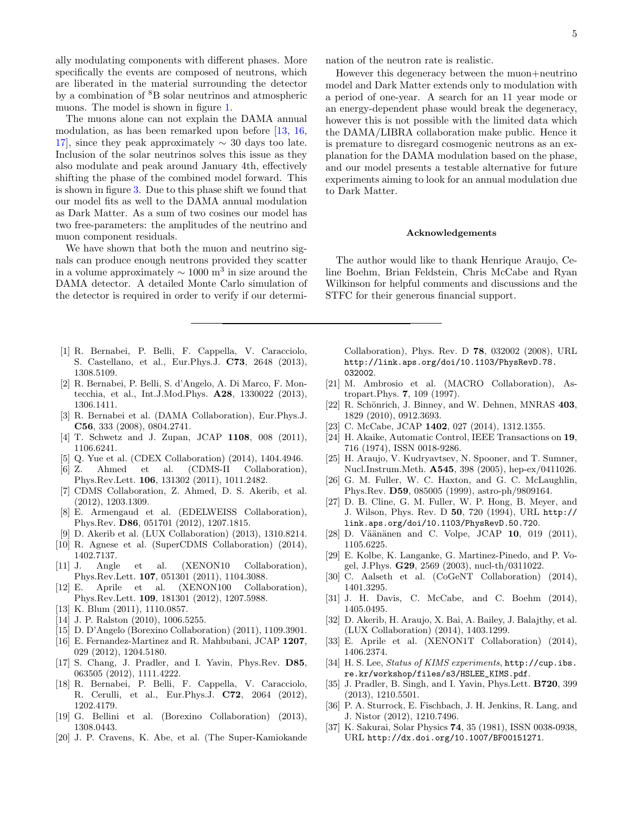ally modulating components with different phases. More specifically the events are composed of neutrons, which are liberated in the material surrounding the detector by a combination of <sup>8</sup>B solar neutrinos and atmospheric muons. The model is shown in figure [1.](#page-1-1)

The muons alone can not explain the DAMA annual modulation, as has been remarked upon before [\[13,](#page-4-11) [16,](#page-4-14) 17, since they peak approximately  $\sim$  30 days too late. Inclusion of the solar neutrinos solves this issue as they also modulate and peak around January 4th, effectively shifting the phase of the combined model forward. This is shown in figure [3.](#page-2-1) Due to this phase shift we found that our model fits as well to the DAMA annual modulation as Dark Matter. As a sum of two cosines our model has two free-parameters: the amplitudes of the neutrino and muon component residuals.

We have shown that both the muon and neutrino signals can produce enough neutrons provided they scatter in a volume approximately  $\sim 1000$  m<sup>3</sup> in size around the DAMA detector. A detailed Monte Carlo simulation of the detector is required in order to verify if our determi-

- <span id="page-4-0"></span>[1] R. Bernabei, P. Belli, F. Cappella, V. Caracciolo, S. Castellano, et al., Eur.Phys.J. C73, 2648 (2013), 1308.5109.
- <span id="page-4-16"></span>[2] R. Bernabei, P. Belli, S. d'Angelo, A. Di Marco, F. Montecchia, et al., Int.J.Mod.Phys. A28, 1330022 (2013), 1306.1411.
- <span id="page-4-1"></span>[3] R. Bernabei et al. (DAMA Collaboration), Eur.Phys.J. C56, 333 (2008), 0804.2741.
- <span id="page-4-2"></span>[4] T. Schwetz and J. Zupan, JCAP 1108, 008 (2011), 1106.6241.
- <span id="page-4-3"></span>[5] Q. Yue et al. (CDEX Collaboration) (2014), 1404.4946.
- <span id="page-4-4"></span>[6] Z. Ahmed et al. (CDMS-II Collaboration), Phys.Rev.Lett. 106, 131302 (2011), 1011.2482.
- <span id="page-4-5"></span>[7] CDMS Collaboration, Z. Ahmed, D. S. Akerib, et al. (2012), 1203.1309.
- <span id="page-4-6"></span>[8] E. Armengaud et al. (EDELWEISS Collaboration), Phys.Rev. D86, 051701 (2012), 1207.1815.
- <span id="page-4-7"></span>[9] D. Akerib et al. (LUX Collaboration) (2013), 1310.8214.
- <span id="page-4-8"></span>[10] R. Agnese et al. (SuperCDMS Collaboration) (2014), 1402.7137.
- <span id="page-4-9"></span>[11] J. Angle et al. (XENON10 Collaboration), Phys.Rev.Lett. 107, 051301 (2011), 1104.3088.
- <span id="page-4-10"></span>[12] E. Aprile et al. (XENON100 Collaboration), Phys.Rev.Lett. 109, 181301 (2012), 1207.5988.
- <span id="page-4-11"></span>[13] K. Blum (2011), 1110.0857.
- <span id="page-4-12"></span>[14] J. P. Ralston (2010), 1006.5255.
- <span id="page-4-13"></span>[15] D. D'Angelo (Borexino Collaboration) (2011), 1109.3901.
- <span id="page-4-14"></span>[16] E. Fernandez-Martinez and R. Mahbubani, JCAP 1207, 029 (2012), 1204.5180.
- <span id="page-4-20"></span>[17] S. Chang, J. Pradler, and I. Yavin, Phys.Rev. D85, 063505 (2012), 1111.4222.
- <span id="page-4-15"></span>[18] R. Bernabei, P. Belli, F. Cappella, V. Caracciolo, R. Cerulli, et al., Eur.Phys.J. C72, 2064 (2012), 1202.4179.
- <span id="page-4-17"></span>[19] G. Bellini et al. (Borexino Collaboration) (2013), 1308.0443.
- <span id="page-4-18"></span>[20] J. P. Cravens, K. Abe, et al. (The Super-Kamiokande

nation of the neutron rate is realistic.

However this degeneracy between the muon+neutrino model and Dark Matter extends only to modulation with a period of one-year. A search for an 11 year mode or an energy-dependent phase would break the degeneracy, however this is not possible with the limited data which the DAMA/LIBRA collaboration make public. Hence it is premature to disregard cosmogenic neutrons as an explanation for the DAMA modulation based on the phase, and our model presents a testable alternative for future experiments aiming to look for an annual modulation due to Dark Matter.

#### Acknowledgements

The author would like to thank Henrique Araujo, Celine Boehm, Brian Feldstein, Chris McCabe and Ryan Wilkinson for helpful comments and discussions and the STFC for their generous financial support.

Collaboration), Phys. Rev. D 78, 032002 (2008), URL [http://link.aps.org/doi/10.1103/PhysRevD.78.](http://link.aps.org/doi/10.1103/PhysRevD.78.032002) [032002](http://link.aps.org/doi/10.1103/PhysRevD.78.032002).

- <span id="page-4-19"></span>[21] M. Ambrosio et al. (MACRO Collaboration), Astropart.Phys. 7, 109 (1997).
- <span id="page-4-21"></span>[22] R. Schönrich, J. Binney, and W. Dehnen, MNRAS 403, 1829 (2010), 0912.3693.
- <span id="page-4-22"></span>[23] C. McCabe, JCAP 1402, 027 (2014), 1312.1355.
- <span id="page-4-23"></span>[24] H. Akaike, Automatic Control, IEEE Transactions on 19, 716 (1974), ISSN 0018-9286.
- <span id="page-4-24"></span>[25] H. Araujo, V. Kudryavtsev, N. Spooner, and T. Sumner, Nucl.Instrum.Meth. A545, 398 (2005), hep-ex/0411026.
- <span id="page-4-25"></span>[26] G. M. Fuller, W. C. Haxton, and G. C. McLaughlin, Phys.Rev. D59, 085005 (1999), astro-ph/9809164.
- [27] D. B. Cline, G. M. Fuller, W. P. Hong, B. Meyer, and J. Wilson, Phys. Rev. D 50, 720 (1994), URL [http://](http://link.aps.org/doi/10.1103/PhysRevD.50.720) [link.aps.org/doi/10.1103/PhysRevD.50.720](http://link.aps.org/doi/10.1103/PhysRevD.50.720).
- [28] D. Väänänen and C. Volpe, JCAP 10, 019 (2011), 1105.6225.
- <span id="page-4-26"></span>[29] E. Kolbe, K. Langanke, G. Martinez-Pinedo, and P. Vogel, J.Phys. G29, 2569 (2003), nucl-th/0311022.
- <span id="page-4-27"></span>[30] C. Aalseth et al. (CoGeNT Collaboration) (2014), 1401.3295.
- <span id="page-4-28"></span>[31] J. H. Davis, C. McCabe, and C. Boehm (2014), 1405.0495.
- <span id="page-4-29"></span>[32] D. Akerib, H. Araujo, X. Bai, A. Bailey, J. Balajthy, et al. (LUX Collaboration) (2014), 1403.1299.
- <span id="page-4-30"></span>[33] E. Aprile et al. (XENON1T Collaboration) (2014), 1406.2374.
- <span id="page-4-31"></span>[34] H. S. Lee, *Status of KIMS experiments*, [http://cup.ibs.](http://cup.ibs.re.kr/workshop/files/s3/HSLEE_KIMS.pdf) [re.kr/workshop/files/s3/HSLEE\\_KIMS.pdf](http://cup.ibs.re.kr/workshop/files/s3/HSLEE_KIMS.pdf).
- <span id="page-4-32"></span>[35] J. Pradler, B. Singh, and I. Yavin, Phys.Lett. B720, 399 (2013), 1210.5501.
- <span id="page-4-33"></span>[36] P. A. Sturrock, E. Fischbach, J. H. Jenkins, R. Lang, and J. Nistor (2012), 1210.7496.
- <span id="page-4-34"></span>[37] K. Sakurai, Solar Physics 74, 35 (1981), ISSN 0038-0938, URL <http://dx.doi.org/10.1007/BF00151271>.